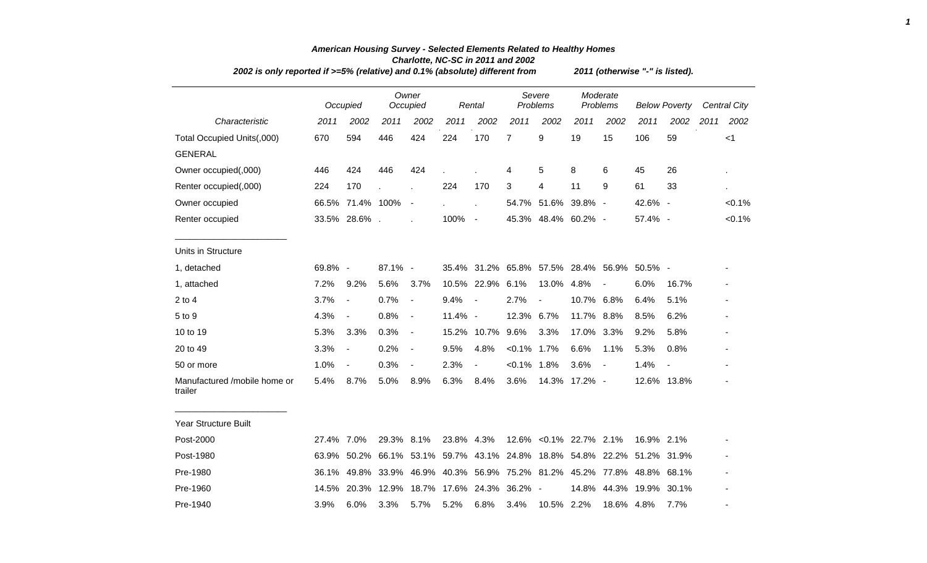| 2002 is only reported if >=5% (relative) and 0.1% (absolute) different from | 2011 (otherwise "-" is listed). |                          |            |                          |                                                                   |                          |                |                                             |                      |                          |                      |             |      |                     |
|-----------------------------------------------------------------------------|---------------------------------|--------------------------|------------|--------------------------|-------------------------------------------------------------------|--------------------------|----------------|---------------------------------------------|----------------------|--------------------------|----------------------|-------------|------|---------------------|
|                                                                             |                                 | Occupied                 |            | Owner<br>Occupied        |                                                                   | Rental                   |                | Severe<br>Problems                          | Moderate<br>Problems |                          | <b>Below Poverty</b> |             |      | <b>Central City</b> |
| Characteristic                                                              | 2011                            | 2002                     | 2011       | 2002                     | 2011                                                              | 2002                     | 2011           | 2002                                        | 2011                 | 2002                     | 2011                 | 2002        | 2011 | 2002                |
| Total Occupied Units(,000)                                                  | 670                             | 594                      | 446        | 424                      | 224                                                               | 170                      | $\overline{7}$ | 9                                           | 19                   | 15                       | 106                  | 59          |      | $<$ 1               |
| <b>GENERAL</b>                                                              |                                 |                          |            |                          |                                                                   |                          |                |                                             |                      |                          |                      |             |      |                     |
| Owner occupied(,000)                                                        | 446                             | 424                      | 446        | 424                      |                                                                   |                          | 4              | 5                                           | 8                    | 6                        | 45                   | 26          |      |                     |
| Renter occupied(,000)                                                       | 224                             | 170                      |            |                          | 224                                                               | 170                      | 3              | 4                                           | 11                   | 9                        | 61                   | 33          |      | ×.                  |
| Owner occupied                                                              |                                 | 66.5% 71.4% 100%         |            | $\overline{\phantom{a}}$ |                                                                   |                          |                | 54.7% 51.6%                                 | 39.8% -              |                          | 42.6% -              |             |      | $< 0.1\%$           |
| Renter occupied                                                             |                                 | 33.5% 28.6%.             |            |                          | 100%                                                              | $\sim$                   |                | 45.3% 48.4% 60.2% -                         |                      |                          | 57.4% -              |             |      | $< 0.1\%$           |
| Units in Structure                                                          |                                 |                          |            |                          |                                                                   |                          |                |                                             |                      |                          |                      |             |      |                     |
| 1, detached                                                                 | 69.8% -                         |                          | 87.1% -    |                          |                                                                   |                          |                | 35.4% 31.2% 65.8% 57.5% 28.4% 56.9% 50.5% - |                      |                          |                      |             |      |                     |
| 1, attached                                                                 | 7.2%                            | 9.2%                     | 5.6%       | 3.7%                     |                                                                   | 10.5% 22.9% 6.1%         |                | 13.0%                                       | 4.8%                 | $\overline{\phantom{a}}$ | 6.0%                 | 16.7%       |      |                     |
| $2$ to $4$                                                                  | 3.7%                            | $\overline{\phantom{a}}$ | 0.7%       | $\blacksquare$           | 9.4%                                                              | $\overline{\phantom{a}}$ | 2.7%           | $\blacksquare$                              | 10.7% 6.8%           |                          | 6.4%                 | 5.1%        |      |                     |
| 5 to 9                                                                      | 4.3%                            | $\overline{a}$           | 0.8%       | $\overline{\phantom{a}}$ | 11.4% -                                                           |                          | 12.3% 6.7%     |                                             | 11.7%                | 8.8%                     | 8.5%                 | 6.2%        |      |                     |
| 10 to 19                                                                    | 5.3%                            | 3.3%                     | 0.3%       | $\blacksquare$           | 15.2%                                                             | 10.7%                    | 9.6%           | 3.3%                                        | 17.0%                | 3.3%                     | 9.2%                 | 5.8%        |      |                     |
| 20 to 49                                                                    | 3.3%                            | $\overline{\phantom{a}}$ | 0.2%       | $\overline{\phantom{a}}$ | 9.5%                                                              | 4.8%                     | $< 0.1\%$ 1.7% |                                             | 6.6%                 | 1.1%                     | 5.3%                 | 0.8%        |      |                     |
| 50 or more                                                                  | 1.0%                            | $\blacksquare$           | 0.3%       | $\blacksquare$           | 2.3%                                                              | $\overline{\phantom{a}}$ | $< 0.1\%$ 1.8% |                                             | 3.6%                 | $\overline{\phantom{a}}$ | 1.4%                 |             |      |                     |
| Manufactured /mobile home or<br>trailer                                     | 5.4%                            | 8.7%                     | 5.0%       | 8.9%                     | 6.3%                                                              | 8.4%                     | 3.6%           |                                             | 14.3% 17.2% -        |                          |                      | 12.6% 13.8% |      |                     |
| Year Structure Built                                                        |                                 |                          |            |                          |                                                                   |                          |                |                                             |                      |                          |                      |             |      |                     |
| Post-2000                                                                   | 27.4% 7.0%                      |                          | 29.3% 8.1% |                          | 23.8% 4.3%                                                        |                          |                | 12.6% < 0.1% 22.7% 2.1%                     |                      |                          | 16.9% 2.1%           |             |      |                     |
| Post-1980                                                                   | 63.9%                           | 50.2%                    | 66.1%      | 53.1%                    | 59.7%                                                             | 43.1%                    |                | 24.8% 18.8% 54.8% 22.2% 51.2% 31.9%         |                      |                          |                      |             |      |                     |
| Pre-1980                                                                    | 36.1%                           |                          |            |                          | 49.8% 33.9% 46.9% 40.3% 56.9% 75.2% 81.2% 45.2% 77.8% 48.8% 68.1% |                          |                |                                             |                      |                          |                      |             |      |                     |
| Pre-1960                                                                    | 14.5%                           | 20.3%                    | 12.9%      |                          | 18.7% 17.6% 24.3%                                                 |                          | 36.2% -        |                                             | 14.8%                |                          | 44.3% 19.9% 30.1%    |             |      |                     |
| Pre-1940                                                                    | 3.9%                            | 6.0%                     | 3.3%       | 5.7%                     | 5.2%                                                              | 6.8%                     | 3.4%           | 10.5% 2.2%                                  |                      | 18.6% 4.8%               |                      | 7.7%        |      |                     |

## *American Housing Survey - Selected Elements Related to Healthy Homes Charlotte, NC-SC in 2011 and 2002*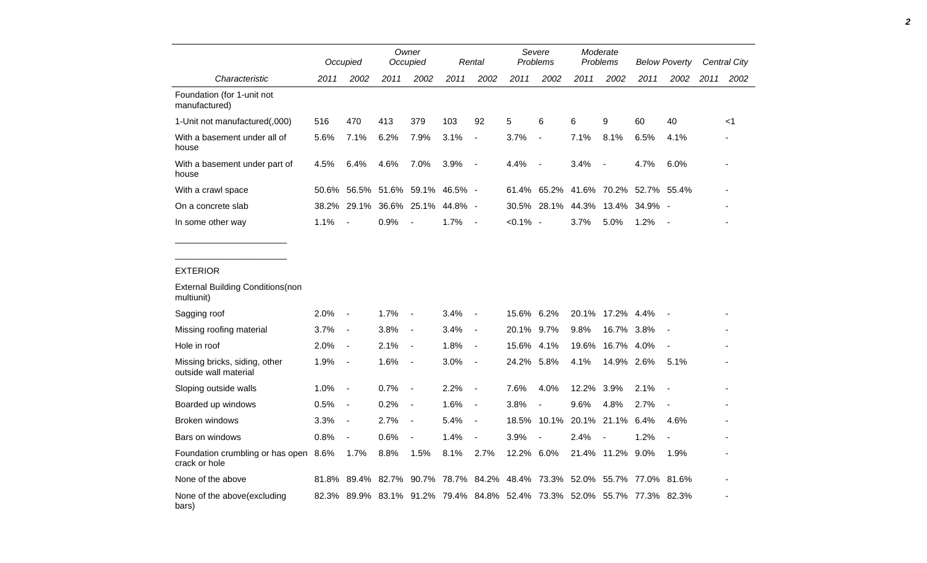|                                                        |       | Occupied                 |      | Owner<br>Occupied        |                           | Rental                   | Severe<br>Problems                                                      |                                     | Moderate<br>Problems |                          | <b>Below Poverty</b> |                          | <b>Central City</b> |       |
|--------------------------------------------------------|-------|--------------------------|------|--------------------------|---------------------------|--------------------------|-------------------------------------------------------------------------|-------------------------------------|----------------------|--------------------------|----------------------|--------------------------|---------------------|-------|
| Characteristic                                         | 2011  | 2002                     | 2011 | 2002                     | 2011                      | 2002                     | 2011                                                                    | 2002                                | 2011                 | 2002                     | 2011                 | 2002                     | 2011                | 2002  |
| Foundation (for 1-unit not<br>manufactured)            |       |                          |      |                          |                           |                          |                                                                         |                                     |                      |                          |                      |                          |                     |       |
| 1-Unit not manufactured(,000)                          | 516   | 470                      | 413  | 379                      | 103                       | 92                       | 5                                                                       | 6                                   | 6                    | 9                        | 60                   | 40                       |                     | $<$ 1 |
| With a basement under all of<br>house                  | 5.6%  | 7.1%                     | 6.2% | 7.9%                     | 3.1%                      | $\overline{a}$           | 3.7%                                                                    | $\overline{\phantom{a}}$            | 7.1%                 | 8.1%                     | 6.5%                 | 4.1%                     |                     |       |
| With a basement under part of<br>house                 | 4.5%  | 6.4%                     | 4.6% | 7.0%                     | 3.9%                      | $\overline{\phantom{a}}$ | 4.4%                                                                    | $\overline{\phantom{a}}$            | 3.4%                 |                          | 4.7%                 | 6.0%                     |                     |       |
| With a crawl space                                     | 50.6% |                          |      |                          | 56.5% 51.6% 59.1% 46.5% - |                          |                                                                         | 61.4% 65.2% 41.6% 70.2% 52.7% 55.4% |                      |                          |                      |                          |                     |       |
| On a concrete slab                                     | 38.2% |                          |      | 29.1% 36.6% 25.1%        | 44.8% -                   |                          |                                                                         | 30.5% 28.1% 44.3% 13.4% 34.9% -     |                      |                          |                      |                          |                     |       |
| In some other way                                      | 1.1%  | $\blacksquare$           | 0.9% | $\sim$                   | 1.7%                      | $\sim$                   | $< 0.1\%$ -                                                             |                                     | 3.7%                 | 5.0%                     | 1.2%                 | $\sim$                   |                     |       |
|                                                        |       |                          |      |                          |                           |                          |                                                                         |                                     |                      |                          |                      |                          |                     |       |
| <b>EXTERIOR</b>                                        |       |                          |      |                          |                           |                          |                                                                         |                                     |                      |                          |                      |                          |                     |       |
| <b>External Building Conditions(non</b><br>multiunit)  |       |                          |      |                          |                           |                          |                                                                         |                                     |                      |                          |                      |                          |                     |       |
| Sagging roof                                           | 2.0%  | $\blacksquare$           | 1.7% |                          | 3.4%                      | $\overline{\phantom{a}}$ | 15.6% 6.2%                                                              |                                     |                      | 20.1% 17.2% 4.4%         |                      |                          |                     |       |
| Missing roofing material                               | 3.7%  | $\blacksquare$           | 3.8% | $\blacksquare$           | 3.4%                      | $\overline{\phantom{a}}$ | 20.1%                                                                   | 9.7%                                | 9.8%                 | 16.7% 3.8%               |                      |                          |                     |       |
| Hole in roof                                           | 2.0%  | $\overline{\phantom{a}}$ | 2.1% | $\overline{\phantom{a}}$ | 1.8%                      | $\overline{\phantom{a}}$ | 15.6%                                                                   | 4.1%                                | 19.6%                | 16.7% 4.0%               |                      | $\overline{\phantom{a}}$ |                     |       |
| Missing bricks, siding, other<br>outside wall material | 1.9%  | $\blacksquare$           | 1.6% | $\blacksquare$           | 3.0%                      | $\overline{\phantom{a}}$ | 24.2%                                                                   | 5.8%                                | 4.1%                 | 14.9% 2.6%               |                      | 5.1%                     |                     |       |
| Sloping outside walls                                  | 1.0%  | $\blacksquare$           | 0.7% | $\sim$                   | 2.2%                      | $\overline{\phantom{a}}$ | 7.6%                                                                    | 4.0%                                | 12.2%                | 3.9%                     | 2.1%                 | $\overline{\phantom{a}}$ |                     |       |
| Boarded up windows                                     | 0.5%  | $\overline{\phantom{a}}$ | 0.2% | $\overline{\phantom{a}}$ | 1.6%                      | $\overline{\phantom{a}}$ | 3.8%                                                                    |                                     | 9.6%                 | 4.8%                     | 2.7%                 |                          |                     |       |
| Broken windows                                         | 3.3%  | $\blacksquare$           | 2.7% | $\blacksquare$           | 5.4%                      | $\overline{\phantom{a}}$ |                                                                         | 18.5% 10.1% 20.1%                   |                      | 21.1% 6.4%               |                      | 4.6%                     |                     |       |
| Bars on windows                                        | 0.8%  | $\blacksquare$           | 0.6% | $\blacksquare$           | 1.4%                      | $\blacksquare$           | 3.9%                                                                    | $\overline{\phantom{a}}$            | 2.4%                 | $\overline{\phantom{a}}$ | 1.2%                 | $\overline{\phantom{a}}$ |                     |       |
| Foundation crumbling or has open 8.6%<br>crack or hole |       | 1.7%                     | 8.8% | 1.5%                     | 8.1%                      | 2.7%                     | 12.2% 6.0%                                                              |                                     |                      | 21.4% 11.2% 9.0%         |                      | 1.9%                     |                     |       |
| None of the above                                      |       |                          |      |                          |                           |                          | 81.8% 89.4% 82.7% 90.7% 78.7% 84.2% 48.4% 73.3% 52.0% 55.7% 77.0% 81.6% |                                     |                      |                          |                      |                          |                     |       |
| None of the above(excluding<br>bars)                   |       |                          |      |                          |                           |                          | 82.3% 89.9% 83.1% 91.2% 79.4% 84.8% 52.4% 73.3% 52.0% 55.7% 77.3% 82.3% |                                     |                      |                          |                      |                          |                     |       |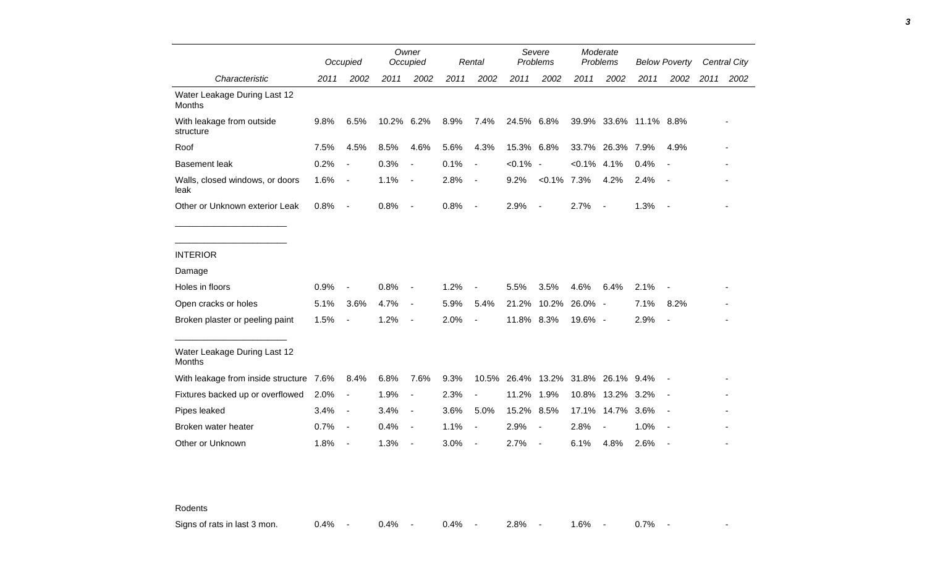|                                               |      | Occupied                 |            | Owner<br>Occupied        |      | Rental                   |             | Severe<br>Problems           |                | Moderate<br>Problems   |      | <b>Below Poverty</b>     |      | <b>Central City</b> |
|-----------------------------------------------|------|--------------------------|------------|--------------------------|------|--------------------------|-------------|------------------------------|----------------|------------------------|------|--------------------------|------|---------------------|
| Characteristic                                | 2011 | 2002                     | 2011       | 2002                     | 2011 | 2002                     | 2011        | 2002                         | 2011           | 2002                   | 2011 | 2002                     | 2011 | 2002                |
| Water Leakage During Last 12<br><b>Months</b> |      |                          |            |                          |      |                          |             |                              |                |                        |      |                          |      |                     |
| With leakage from outside<br>structure        | 9.8% | 6.5%                     | 10.2% 6.2% |                          | 8.9% | 7.4%                     | 24.5% 6.8%  |                              |                | 39.9% 33.6% 11.1% 8.8% |      |                          |      |                     |
| Roof                                          | 7.5% | 4.5%                     | 8.5%       | 4.6%                     | 5.6% | 4.3%                     | 15.3% 6.8%  |                              |                | 33.7% 26.3% 7.9%       |      | 4.9%                     |      |                     |
| <b>Basement leak</b>                          | 0.2% | $\overline{\phantom{a}}$ | 0.3%       | $\blacksquare$           | 0.1% | $\blacksquare$           | $< 0.1\%$ - |                              | $< 0.1\%$ 4.1% |                        | 0.4% | $\blacksquare$           |      |                     |
| Walls, closed windows, or doors<br>leak       | 1.6% | $\blacksquare$           | 1.1%       | $\sim$                   | 2.8% | $\blacksquare$           | 9.2%        | $< 0.1\%$ 7.3%               |                | 4.2%                   | 2.4% | $\overline{\phantom{a}}$ |      |                     |
| Other or Unknown exterior Leak                | 0.8% | $\sim$                   | 0.8%       | $\sim$ $-$               | 0.8% | $\sim$                   | 2.9%        | $\overline{\phantom{a}}$     | 2.7%           | $\blacksquare$         | 1.3% | $\overline{\phantom{a}}$ |      |                     |
|                                               |      |                          |            |                          |      |                          |             |                              |                |                        |      |                          |      |                     |
| <b>INTERIOR</b>                               |      |                          |            |                          |      |                          |             |                              |                |                        |      |                          |      |                     |
| Damage                                        |      |                          |            |                          |      |                          |             |                              |                |                        |      |                          |      |                     |
| Holes in floors                               | 0.9% | $\overline{\phantom{a}}$ | 0.8%       |                          | 1.2% | $\overline{\phantom{a}}$ | 5.5%        | 3.5%                         | 4.6%           | 6.4%                   | 2.1% |                          |      |                     |
| Open cracks or holes                          | 5.1% | 3.6%                     | 4.7%       | $\overline{\phantom{a}}$ | 5.9% | 5.4%                     | 21.2%       |                              | 10.2% 26.0% -  |                        | 7.1% | 8.2%                     |      |                     |
| Broken plaster or peeling paint               | 1.5% | $\overline{\phantom{a}}$ | 1.2%       | $\overline{\phantom{a}}$ | 2.0% | $\overline{a}$           | 11.8% 8.3%  |                              | 19.6% -        |                        | 2.9% | $\overline{\phantom{a}}$ |      |                     |
| Water Leakage During Last 12<br><b>Months</b> |      |                          |            |                          |      |                          |             |                              |                |                        |      |                          |      |                     |
| With leakage from inside structure 7.6%       |      | 8.4%                     | 6.8%       | 7.6%                     | 9.3% | 10.5%                    |             | 26.4% 13.2% 31.8% 26.1% 9.4% |                |                        |      | $\blacksquare$           |      |                     |
| Fixtures backed up or overflowed              | 2.0% | $\overline{\phantom{a}}$ | 1.9%       | $\blacksquare$           | 2.3% | $\blacksquare$           | 11.2%       | 1.9%                         |                | 10.8% 13.2% 3.2%       |      |                          |      |                     |
| Pipes leaked                                  | 3.4% | $\blacksquare$           | 3.4%       | $\blacksquare$           | 3.6% | 5.0%                     | 15.2% 8.5%  |                              | 17.1%          | 14.7%                  | 3.6% | $\overline{\phantom{a}}$ |      |                     |
| Broken water heater                           | 0.7% | $\overline{\phantom{a}}$ | 0.4%       | $\sim$                   | 1.1% | $\blacksquare$           | 2.9%        | $\overline{\phantom{a}}$     | 2.8%           |                        | 1.0% |                          |      |                     |
| Other or Unknown                              | 1.8% | $\overline{\phantom{a}}$ | 1.3%       |                          | 3.0% | $\overline{\phantom{a}}$ | 2.7%        | $\overline{\phantom{a}}$     | 6.1%           | 4.8%                   | 2.6% |                          |      |                     |

Rodents

Signs of rats in last 3 mon. 0.4% - 0.4% - 0.4% - 2.8% - 1.6% - 0.7% -

*3*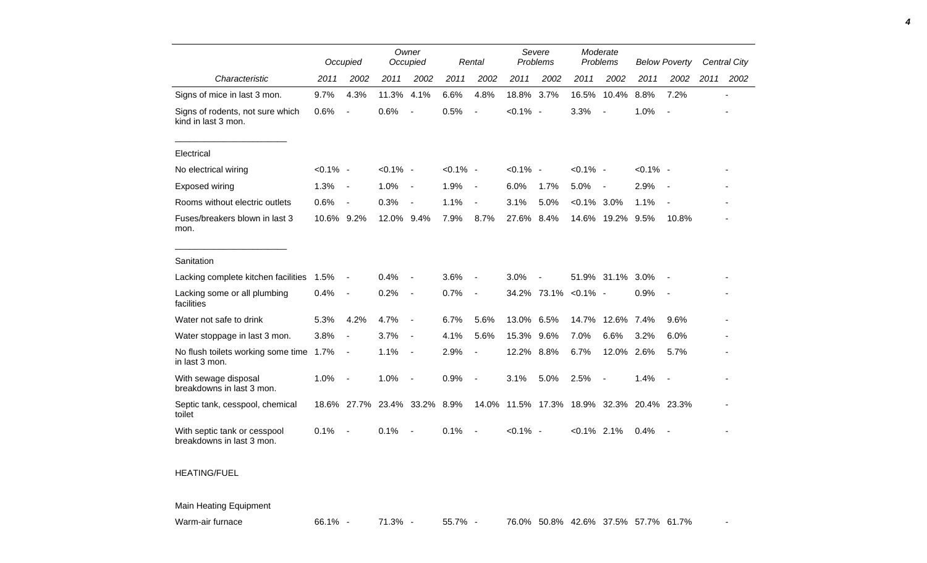|                                                           | Occupied    |                          |             | Owner<br>Occupied        |             | Rental                   |                                           | Severe<br>Problems |                      | Moderate<br>Problems     |             | <b>Below Poverty</b>     |      | <b>Central City</b>      |
|-----------------------------------------------------------|-------------|--------------------------|-------------|--------------------------|-------------|--------------------------|-------------------------------------------|--------------------|----------------------|--------------------------|-------------|--------------------------|------|--------------------------|
| Characteristic                                            | 2011        | 2002                     | 2011        | 2002                     | 2011        | 2002                     | 2011                                      | 2002               | 2011                 | 2002                     | 2011        | 2002                     | 2011 | 2002                     |
| Signs of mice in last 3 mon.                              | 9.7%        | 4.3%                     | 11.3%       | 4.1%                     | 6.6%        | 4.8%                     | 18.8% 3.7%                                |                    | 16.5%                | 10.4%                    | 8.8%        | 7.2%                     |      | $\overline{\phantom{a}}$ |
| Signs of rodents, not sure which<br>kind in last 3 mon.   | 0.6%        | $\overline{\phantom{a}}$ | 0.6%        | $\blacksquare$           | 0.5%        | $\overline{a}$           | $< 0.1\%$ -                               |                    | 3.3%                 | $\blacksquare$           | 1.0%        | $\overline{\phantom{a}}$ |      |                          |
| Electrical                                                |             |                          |             |                          |             |                          |                                           |                    |                      |                          |             |                          |      |                          |
| No electrical wiring                                      | $< 0.1\%$ - |                          | $< 0.1\%$ - |                          | $< 0.1\%$ - |                          | $< 0.1\%$ -                               |                    | $< 0.1\%$ -          |                          | $< 0.1\%$ - |                          |      |                          |
| Exposed wiring                                            | 1.3%        | $\overline{\phantom{a}}$ | 1.0%        | $\overline{\phantom{a}}$ | 1.9%        | $\overline{\phantom{a}}$ | 6.0%                                      | 1.7%               | 5.0%                 | $\overline{\phantom{a}}$ | 2.9%        |                          |      |                          |
| Rooms without electric outlets                            | 0.6%        | $\overline{\phantom{a}}$ | 0.3%        | $\overline{\phantom{a}}$ | 1.1%        | $\blacksquare$           | 3.1%                                      | 5.0%               | $< 0.1\%$ 3.0%       |                          | 1.1%        | $\overline{\phantom{a}}$ |      |                          |
| Fuses/breakers blown in last 3<br>mon.                    | 10.6% 9.2%  |                          | 12.0% 9.4%  |                          | 7.9%        | 8.7%                     | 27.6% 8.4%                                |                    |                      | 14.6% 19.2% 9.5%         |             | 10.8%                    |      |                          |
| Sanitation                                                |             |                          |             |                          |             |                          |                                           |                    |                      |                          |             |                          |      |                          |
| Lacking complete kitchen facilities                       | 1.5%        | $\overline{\phantom{a}}$ | 0.4%        |                          | 3.6%        | $\overline{\phantom{a}}$ | 3.0%                                      |                    |                      | 51.9% 31.1%              | 3.0%        |                          |      |                          |
| Lacking some or all plumbing<br>facilities                | 0.4%        | $\overline{\phantom{a}}$ | 0.2%        | $\overline{\phantom{a}}$ | 0.7%        | $\blacksquare$           |                                           |                    | 34.2% 73.1% < 0.1% - |                          | 0.9%        | $\overline{\phantom{a}}$ |      |                          |
| Water not safe to drink                                   | 5.3%        | 4.2%                     | 4.7%        | $\overline{\phantom{a}}$ | 6.7%        | 5.6%                     | 13.0% 6.5%                                |                    | 14.7%                | 12.6% 7.4%               |             | 9.6%                     |      |                          |
| Water stoppage in last 3 mon.                             | 3.8%        | $\blacksquare$           | 3.7%        | $\overline{\phantom{a}}$ | 4.1%        | 5.6%                     | 15.3%                                     | 9.6%               | 7.0%                 | 6.6%                     | 3.2%        | 6.0%                     |      |                          |
| No flush toilets working some time 1.7%<br>in last 3 mon. |             | $\sim$                   | 1.1%        | $\overline{\phantom{a}}$ | 2.9%        | $\overline{\phantom{a}}$ | 12.2% 8.8%                                |                    | 6.7%                 | 12.0%                    | 2.6%        | 5.7%                     |      |                          |
| With sewage disposal<br>breakdowns in last 3 mon.         | 1.0%        | $\overline{\phantom{a}}$ | 1.0%        | $\overline{\phantom{a}}$ | 0.9%        | $\overline{\phantom{a}}$ | 3.1%                                      | 5.0%               | 2.5%                 | $\blacksquare$           | 1.4%        | $\overline{\phantom{a}}$ |      |                          |
| Septic tank, cesspool, chemical<br>toilet                 |             | 18.6% 27.7%              |             | 23.4% 33.2%              | 8.9%        |                          | 14.0% 11.5% 17.3% 18.9% 32.3% 20.4% 23.3% |                    |                      |                          |             |                          |      |                          |
| With septic tank or cesspool<br>breakdowns in last 3 mon. | 0.1%        | $\sim$                   | 0.1%        | $\sim$                   | 0.1%        | $\blacksquare$           | $< 0.1\%$ -                               |                    | $< 0.1\%$ 2.1%       |                          | 0.4%        | $\sim$                   |      |                          |
|                                                           |             |                          |             |                          |             |                          |                                           |                    |                      |                          |             |                          |      |                          |

## HEATING/FUEL

Main Heating Equipment

Warm-air furnace 66.1% - 71.3% - 55.7% - 76.0% 50.8% 42.6% 37.5% 57.7% 61.7%

*4*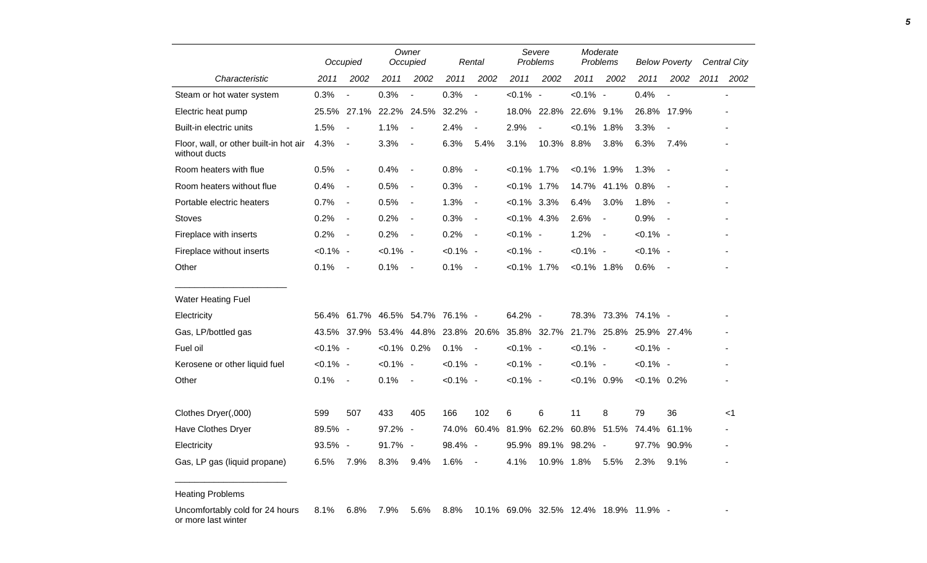|                                                         | Occupied    |                          | Owner<br>Occupied |                          |             | Rental                   |                | Severe<br>Problems                  |                | Moderate<br>Problems     |                | <b>Below Poverty</b>     |      | <b>Central City</b> |  |
|---------------------------------------------------------|-------------|--------------------------|-------------------|--------------------------|-------------|--------------------------|----------------|-------------------------------------|----------------|--------------------------|----------------|--------------------------|------|---------------------|--|
| Characteristic                                          | 2011        | 2002                     | 2011              | 2002                     | 2011        | 2002                     | 2011           | 2002                                | 2011           | 2002                     | 2011           | 2002                     | 2011 | 2002                |  |
| Steam or hot water system                               | 0.3%        |                          | 0.3%              | $\overline{\phantom{a}}$ | 0.3%        | $\overline{a}$           | $< 0.1\%$ -    |                                     | $< 0.1\%$ -    |                          | 0.4%           | $\blacksquare$           |      |                     |  |
| Electric heat pump                                      | 25.5%       | 27.1%                    |                   | 22.2% 24.5%              | 32.2% -     |                          |                | 18.0% 22.8% 22.6% 9.1%              |                |                          |                | 26.8% 17.9%              |      |                     |  |
| Built-in electric units                                 | 1.5%        | $\overline{\phantom{a}}$ | 1.1%              | $\blacksquare$           | 2.4%        | $\overline{\phantom{a}}$ | 2.9%           | $\overline{\phantom{a}}$            | $< 0.1\%$ 1.8% |                          | 3.3%           | $\blacksquare$           |      |                     |  |
| Floor, wall, or other built-in hot air<br>without ducts | 4.3%        | $\overline{\phantom{a}}$ | 3.3%              | $\sim$                   | 6.3%        | 5.4%                     | 3.1%           | 10.3% 8.8%                          |                | 3.8%                     | 6.3%           | 7.4%                     |      |                     |  |
| Room heaters with flue                                  | 0.5%        | $\overline{\phantom{a}}$ | 0.4%              | $\sim$                   | 0.8%        | $\overline{\phantom{a}}$ | $< 0.1\%$ 1.7% |                                     | $< 0.1\%$ 1.9% |                          | 1.3%           | $\overline{\phantom{a}}$ |      |                     |  |
| Room heaters without flue                               | 0.4%        | $\blacksquare$           | 0.5%              | $\overline{\phantom{a}}$ | 0.3%        | $\overline{\phantom{a}}$ | $< 0.1\%$ 1.7% |                                     | 14.7%          | 41.1%                    | 0.8%           |                          |      |                     |  |
| Portable electric heaters                               | 0.7%        | $\overline{\phantom{a}}$ | 0.5%              | $\overline{\phantom{a}}$ | 1.3%        | $\blacksquare$           | $< 0.1\%$ 3.3% |                                     | 6.4%           | 3.0%                     | 1.8%           | $\overline{\phantom{a}}$ |      |                     |  |
| <b>Stoves</b>                                           | 0.2%        | $\blacksquare$           | 0.2%              | $\sim$                   | 0.3%        | $\blacksquare$           | $< 0.1\%$ 4.3% |                                     | 2.6%           | $\blacksquare$           | 0.9%           | $\overline{\phantom{a}}$ |      |                     |  |
| Fireplace with inserts                                  | 0.2%        | $\overline{\phantom{a}}$ | 0.2%              | $\sim$                   | 0.2%        | $\sim$                   | $< 0.1\%$ -    |                                     | 1.2%           | $\overline{\phantom{a}}$ | $< 0.1\%$ -    |                          |      |                     |  |
| Fireplace without inserts                               | $< 0.1\%$ - |                          | $< 0.1\%$ -       |                          | $< 0.1\%$ - |                          | $< 0.1\%$ -    |                                     | $< 0.1\%$ -    |                          | $< 0.1\%$ -    |                          |      |                     |  |
| Other                                                   | 0.1%        | $\overline{\phantom{a}}$ | 0.1%              | $\sim$ $-$               | 0.1%        | $\overline{\phantom{a}}$ | $< 0.1\%$ 1.7% |                                     | $< 0.1\%$ 1.8% |                          | 0.6%           | $\sim$                   |      |                     |  |
| <b>Water Heating Fuel</b>                               |             |                          |                   |                          |             |                          |                |                                     |                |                          |                |                          |      |                     |  |
| Electricity                                             | 56.4%       | 61.7%                    |                   | 46.5% 54.7% 76.1% -      |             |                          | 64.2% -        |                                     |                | 78.3% 73.3% 74.1% -      |                |                          |      |                     |  |
| Gas, LP/bottled gas                                     | 43.5%       | 37.9%                    |                   | 53.4% 44.8%              |             | 23.8% 20.6%              |                | 35.8% 32.7% 21.7% 25.8% 25.9% 27.4% |                |                          |                |                          |      |                     |  |
| Fuel oil                                                | $< 0.1\%$ - |                          | $< 0.1\%$ 0.2%    |                          | 0.1%        | $\sim$ $-$               | $< 0.1\%$ -    |                                     | $< 0.1\%$ -    |                          | $< 0.1\%$ -    |                          |      |                     |  |
| Kerosene or other liquid fuel                           | $< 0.1\%$ - |                          | $< 0.1\%$ -       |                          | $< 0.1\%$ - |                          | $< 0.1\%$ -    |                                     | $< 0.1\%$ -    |                          | $< 0.1\%$ -    |                          |      |                     |  |
| Other                                                   | 0.1%        | $\sim$                   | 0.1%              | $\sim$                   | $< 0.1\%$ - |                          | $< 0.1\%$ -    |                                     | $< 0.1\%$ 0.9% |                          | $< 0.1\%$ 0.2% |                          |      |                     |  |
|                                                         |             |                          |                   |                          |             |                          |                |                                     |                |                          |                |                          |      |                     |  |
| Clothes Dryer(,000)                                     | 599         | 507                      | 433               | 405                      | 166         | 102                      | 6              | 6                                   | 11             | 8                        | 79             | 36                       |      | <1                  |  |
| Have Clothes Dryer                                      | 89.5% -     |                          | 97.2% -           |                          | 74.0%       | 60.4%                    | 81.9%          |                                     | 62.2% 60.8%    | 51.5%                    | 74.4%          | 61.1%                    |      |                     |  |
| Electricity                                             | 93.5% -     |                          | 91.7% -           |                          | 98.4% -     |                          | 95.9%          |                                     | 89.1% 98.2% -  |                          | 97.7%          | 90.9%                    |      |                     |  |
| Gas, LP gas (liquid propane)                            | 6.5%        | 7.9%                     | 8.3%              | 9.4%                     | 1.6%        | $\blacksquare$           | 4.1%           | 10.9% 1.8%                          |                | 5.5%                     | 2.3%           | 9.1%                     |      |                     |  |

Heating Problems

\_\_\_\_\_\_\_\_\_\_\_\_\_\_\_\_\_\_\_\_\_\_\_

Uncomfortably cold for 24 hours or more last winter 8.1% 6.8% 7.9% 5.6% 8.8% 10.1% 69.0% 32.5% 12.4% 18.9% 11.9% - -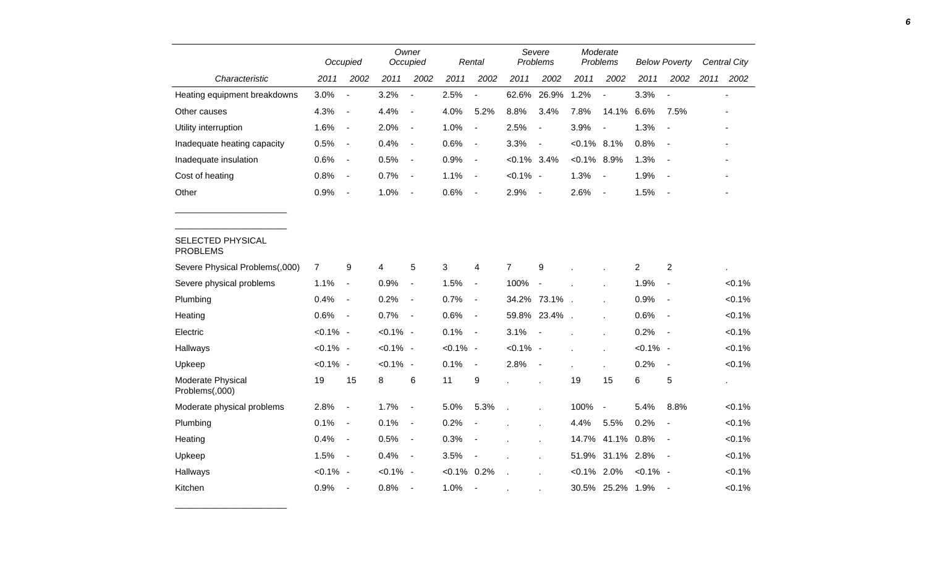|                                      | Occupied       |                          | Owner<br>Occupied |                          |                | Rental                   |                | Severe<br>Problems       |                | Moderate<br>Problems     |                | <b>Below Poverty</b>         |      | <b>Central City</b> |  |
|--------------------------------------|----------------|--------------------------|-------------------|--------------------------|----------------|--------------------------|----------------|--------------------------|----------------|--------------------------|----------------|------------------------------|------|---------------------|--|
| Characteristic                       | 2011           | 2002                     | 2011              | 2002                     | 2011           | 2002                     | 2011           | 2002                     | 2011           | 2002                     | 2011           | 2002                         | 2011 | 2002                |  |
| Heating equipment breakdowns         | 3.0%           | $\overline{\phantom{a}}$ | 3.2%              | $\overline{\phantom{a}}$ | 2.5%           | $\overline{\phantom{a}}$ | 62.6%          | 26.9%                    | 1.2%           | $\overline{a}$           | 3.3%           | $\overline{a}$               |      |                     |  |
| Other causes                         | 4.3%           | $\overline{\phantom{a}}$ | 4.4%              | $\blacksquare$           | 4.0%           | 5.2%                     | 8.8%           | 3.4%                     | 7.8%           | 14.1%                    | 6.6%           | 7.5%                         |      |                     |  |
| Utility interruption                 | 1.6%           | $\overline{\phantom{a}}$ | 2.0%              | $\blacksquare$           | 1.0%           | $\overline{\phantom{a}}$ | 2.5%           | $\blacksquare$           | 3.9%           | $\overline{a}$           | 1.3%           | $\blacksquare$               |      |                     |  |
| Inadequate heating capacity          | 0.5%           | $\blacksquare$           | 0.4%              | $\blacksquare$           | 0.6%           | $\overline{\phantom{a}}$ | 3.3%           | $\blacksquare$           | $< 0.1\%$ 8.1% |                          | 0.8%           | $\overline{\phantom{a}}$     |      |                     |  |
| Inadequate insulation                | 0.6%           | $\blacksquare$           | 0.5%              | $\blacksquare$           | 0.9%           | $\blacksquare$           | $< 0.1\%$ 3.4% |                          | $< 0.1\%$ 8.9% |                          | 1.3%           |                              |      |                     |  |
| Cost of heating                      | 0.8%           | $\overline{\phantom{a}}$ | 0.7%              | $\blacksquare$           | 1.1%           | $\overline{\phantom{a}}$ | $< 0.1\%$ -    |                          | 1.3%           | $\overline{a}$           | 1.9%           |                              |      |                     |  |
| Other                                | 0.9%           | $\blacksquare$           | 1.0%              | $\blacksquare$           | 0.6%           | $\sim$                   | 2.9%           | $\overline{\phantom{a}}$ | 2.6%           | $\overline{\phantom{a}}$ | 1.5%           | $\overline{\phantom{a}}$     |      |                     |  |
|                                      |                |                          |                   |                          |                |                          |                |                          |                |                          |                |                              |      |                     |  |
| SELECTED PHYSICAL<br><b>PROBLEMS</b> |                |                          |                   |                          |                |                          |                |                          |                |                          |                |                              |      |                     |  |
| Severe Physical Problems(,000)       | $\overline{7}$ | 9                        | 4                 | 5                        | 3              | 4                        | $\overline{7}$ | 9                        |                |                          | $\overline{2}$ | $\overline{\mathbf{c}}$      |      |                     |  |
| Severe physical problems             | 1.1%           | $\blacksquare$           | 0.9%              | $\blacksquare$           | 1.5%           | $\blacksquare$           | 100%           | $\blacksquare$           |                |                          | 1.9%           | $\qquad \qquad \blacksquare$ |      | $< 0.1\%$           |  |
| Plumbing                             | 0.4%           | $\blacksquare$           | 0.2%              | $\overline{\phantom{a}}$ | 0.7%           | $\overline{\phantom{a}}$ |                | 34.2% 73.1%              |                |                          | 0.9%           | $\overline{\phantom{a}}$     |      | $< 0.1\%$           |  |
| Heating                              | 0.6%           | $\blacksquare$           | 0.7%              | $\blacksquare$           | 0.6%           | $\overline{\phantom{a}}$ |                | 59.8% 23.4%              |                |                          | 0.6%           | $\overline{\phantom{a}}$     |      | $< 0.1\%$           |  |
| Electric                             | $< 0.1\%$ -    |                          | $< 0.1\%$ -       |                          | 0.1%           | $\blacksquare$           | 3.1%           |                          |                |                          | 0.2%           | $\blacksquare$               |      | $< 0.1\%$           |  |
| Hallways                             | $< 0.1\%$ -    |                          | $< 0.1\%$ -       |                          | $< 0.1\%$ -    |                          | $< 0.1\%$ -    |                          |                |                          | $< 0.1\%$ -    |                              |      | $< 0.1\%$           |  |
| Upkeep                               | $< 0.1\%$ -    |                          | $< 0.1\%$ -       |                          | 0.1%           | $\overline{\phantom{a}}$ | 2.8%           | $\overline{\phantom{a}}$ |                | ä.                       | 0.2%           | $\overline{\phantom{a}}$     |      | $< 0.1\%$           |  |
| Moderate Physical<br>Problems(,000)  | 19             | 15                       | 8                 | 6                        | 11             | 9                        |                | ä,                       | 19             | 15                       | 6              | 5                            |      | $\blacksquare$      |  |
| Moderate physical problems           | 2.8%           | $\blacksquare$           | 1.7%              | $\blacksquare$           | 5.0%           | 5.3%                     |                | ä,                       | 100%           | $\blacksquare$           | 5.4%           | 8.8%                         |      | $< 0.1\%$           |  |
| Plumbing                             | 0.1%           | $\overline{\phantom{a}}$ | 0.1%              | $\blacksquare$           | 0.2%           |                          |                |                          | 4.4%           | 5.5%                     | 0.2%           |                              |      | $< 0.1\%$           |  |
| Heating                              | 0.4%           | $\overline{\phantom{a}}$ | 0.5%              | $\overline{\phantom{a}}$ | 0.3%           |                          |                | ÷.                       | 14.7%          | 41.1%                    | 0.8%           | $\overline{a}$               |      | $< 0.1\%$           |  |
| Upkeep                               | 1.5%           | $\overline{\phantom{a}}$ | 0.4%              | $\overline{\phantom{a}}$ | 3.5%           | $\overline{\phantom{a}}$ |                |                          | 51.9%          | 31.1% 2.8%               |                | $\overline{\phantom{a}}$     |      | $< 0.1\%$           |  |
| Hallways                             | $< 0.1\%$ -    |                          | $< 0.1\%$ -       |                          | $< 0.1\%$ 0.2% |                          |                |                          | $< 0.1\%$      | 2.0%                     | $< 0.1\%$ -    |                              |      | $< 0.1\%$           |  |
| Kitchen                              | 0.9%           | $\overline{\phantom{a}}$ | 0.8%              | $\overline{\phantom{a}}$ | 1.0%           | $\overline{\phantom{a}}$ |                |                          |                | 30.5% 25.2% 1.9%         |                |                              |      | $< 0.1\%$           |  |

\_\_\_\_\_\_\_\_\_\_\_\_\_\_\_\_\_\_\_\_\_\_\_